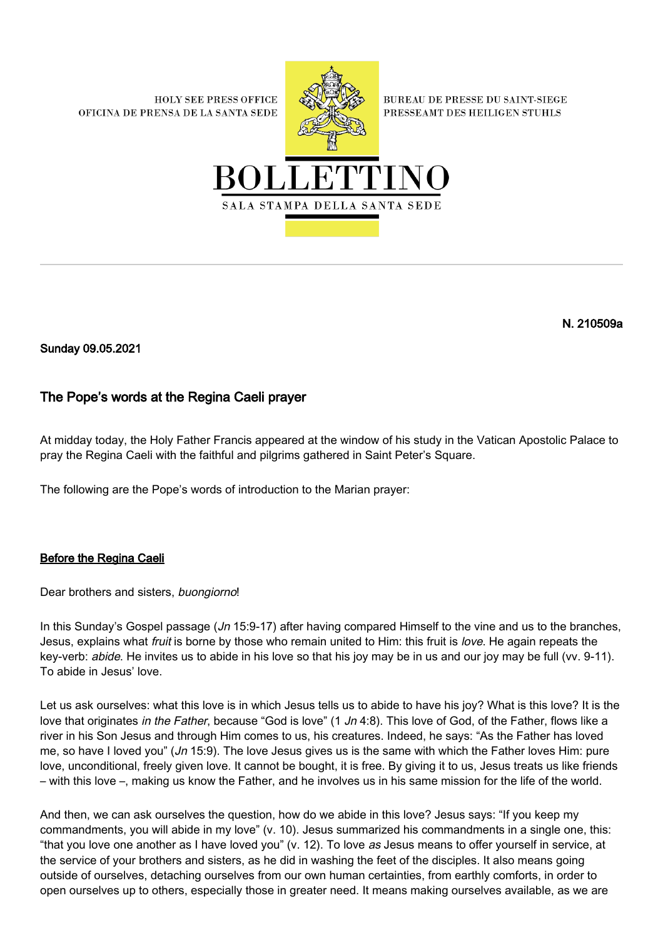**HOLY SEE PRESS OFFICE** OFICINA DE PRENSA DE LA SANTA SEDE



**BUREAU DE PRESSE DU SAINT-SIEGE** PRESSEAMT DES HEILIGEN STUHLS



N. 210509a

Sunday 09.05.2021

## The Pope's words at the Regina Caeli prayer

At midday today, the Holy Father Francis appeared at the window of his study in the Vatican Apostolic Palace to pray the Regina Caeli with the faithful and pilgrims gathered in Saint Peter's Square.

The following are the Pope's words of introduction to the Marian prayer:

## Before the Regina Caeli

Dear brothers and sisters, buongiorno!

In this Sunday's Gospel passage (Jn 15:9-17) after having compared Himself to the vine and us to the branches, Jesus, explains what fruit is borne by those who remain united to Him: this fruit is love. He again repeats the key-verb: abide. He invites us to abide in his love so that his joy may be in us and our joy may be full (vv. 9-11). To abide in Jesus' love.

Let us ask ourselves: what this love is in which Jesus tells us to abide to have his joy? What is this love? It is the love that originates in the Father, because "God is love" (1 Jn 4:8). This love of God, of the Father, flows like a river in his Son Jesus and through Him comes to us, his creatures. Indeed, he says: "As the Father has loved me, so have I loved you" (Jn 15:9). The love Jesus gives us is the same with which the Father loves Him: pure love, unconditional, freely given love. It cannot be bought, it is free. By giving it to us, Jesus treats us like friends – with this love –, making us know the Father, and he involves us in his same mission for the life of the world.

And then, we can ask ourselves the question, how do we abide in this love? Jesus says: "If you keep my commandments, you will abide in my love" (v. 10). Jesus summarized his commandments in a single one, this: "that you love one another as I have loved you" (v. 12). To love as Jesus means to offer yourself in service, at the service of your brothers and sisters, as he did in washing the feet of the disciples. It also means going outside of ourselves, detaching ourselves from our own human certainties, from earthly comforts, in order to open ourselves up to others, especially those in greater need. It means making ourselves available, as we are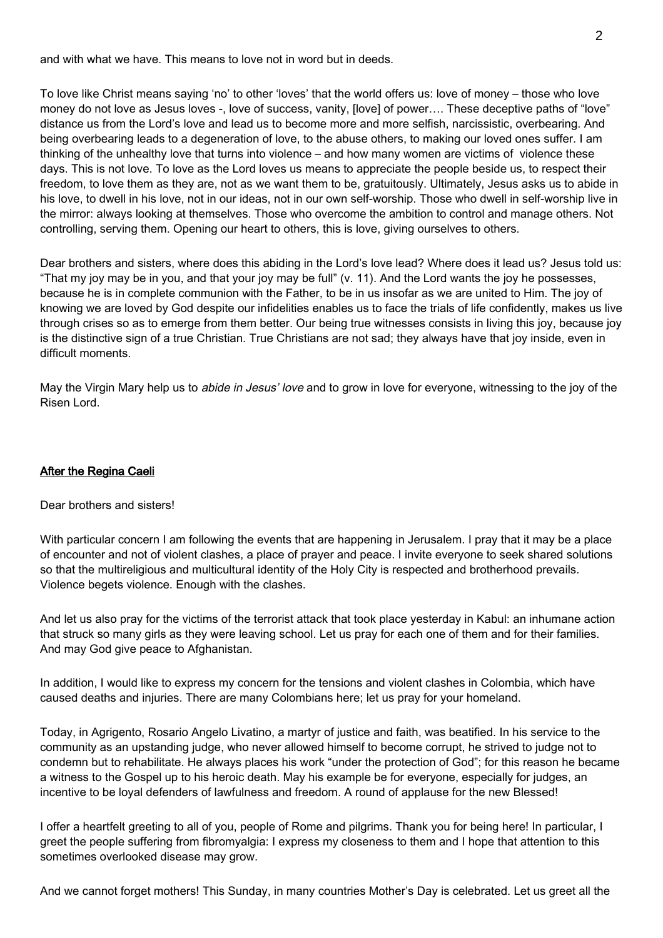and with what we have. This means to love not in word but in deeds.

To love like Christ means saying 'no' to other 'loves' that the world offers us: love of money – those who love money do not love as Jesus loves -, love of success, vanity, [love] of power…. These deceptive paths of "love" distance us from the Lord's love and lead us to become more and more selfish, narcissistic, overbearing. And being overbearing leads to a degeneration of love, to the abuse others, to making our loved ones suffer. I am thinking of the unhealthy love that turns into violence – and how many women are victims of violence these days. This is not love. To love as the Lord loves us means to appreciate the people beside us, to respect their freedom, to love them as they are, not as we want them to be, gratuitously. Ultimately, Jesus asks us to abide in his love, to dwell in his love, not in our ideas, not in our own self-worship. Those who dwell in self-worship live in the mirror: always looking at themselves. Those who overcome the ambition to control and manage others. Not controlling, serving them. Opening our heart to others, this is love, giving ourselves to others.

Dear brothers and sisters, where does this abiding in the Lord's love lead? Where does it lead us? Jesus told us: "That my joy may be in you, and that your joy may be full" (v. 11). And the Lord wants the joy he possesses, because he is in complete communion with the Father, to be in us insofar as we are united to Him. The joy of knowing we are loved by God despite our infidelities enables us to face the trials of life confidently, makes us live through crises so as to emerge from them better. Our being true witnesses consists in living this joy, because joy is the distinctive sign of a true Christian. True Christians are not sad; they always have that joy inside, even in difficult moments.

May the Virgin Mary help us to *abide in Jesus' love* and to grow in love for everyone, witnessing to the joy of the Risen Lord.

## After the Regina Caeli

Dear brothers and sisters!

With particular concern I am following the events that are happening in Jerusalem. I pray that it may be a place of encounter and not of violent clashes, a place of prayer and peace. I invite everyone to seek shared solutions so that the multireligious and multicultural identity of the Holy City is respected and brotherhood prevails. Violence begets violence. Enough with the clashes.

And let us also pray for the victims of the terrorist attack that took place yesterday in Kabul: an inhumane action that struck so many girls as they were leaving school. Let us pray for each one of them and for their families. And may God give peace to Afghanistan.

In addition, I would like to express my concern for the tensions and violent clashes in Colombia, which have caused deaths and injuries. There are many Colombians here; let us pray for your homeland.

Today, in Agrigento, Rosario Angelo Livatino, a martyr of justice and faith, was beatified. In his service to the community as an upstanding judge, who never allowed himself to become corrupt, he strived to judge not to condemn but to rehabilitate. He always places his work "under the protection of God"; for this reason he became a witness to the Gospel up to his heroic death. May his example be for everyone, especially for judges, an incentive to be loyal defenders of lawfulness and freedom. A round of applause for the new Blessed!

I offer a heartfelt greeting to all of you, people of Rome and pilgrims. Thank you for being here! In particular, I greet the people suffering from fibromyalgia: I express my closeness to them and I hope that attention to this sometimes overlooked disease may grow.

And we cannot forget mothers! This Sunday, in many countries Mother's Day is celebrated. Let us greet all the